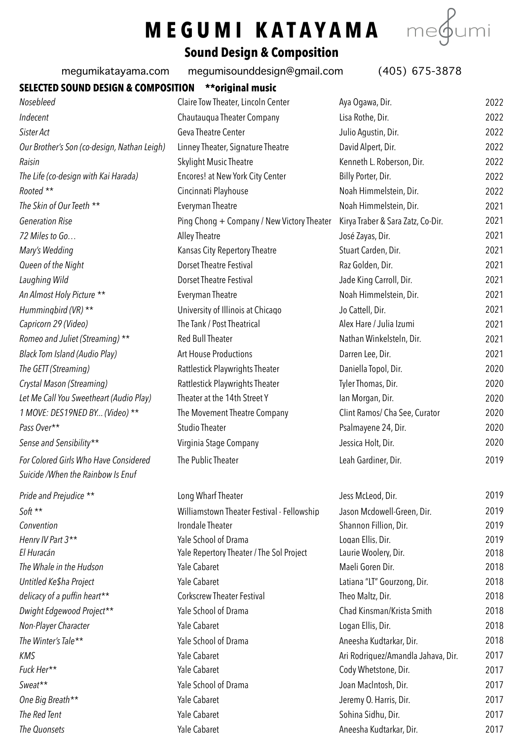## **MEGUMI KATAYAMA**



## **Sound Design & Composition**

megumikatayama.com [megumisounddesign@gmail.com](mailto:megumisounddesign@gmail.com) (405) 675-3878

|                                                                            | incganisounddcsigne gmail.com              | (100, 0100, 0010)                 |      |
|----------------------------------------------------------------------------|--------------------------------------------|-----------------------------------|------|
| SELECTED SOUND DESIGN & COMPOSITION                                        | **original music                           |                                   |      |
| Nosebleed                                                                  | Claire Tow Theater, Lincoln Center         | Aya Ogawa, Dir.                   | 2022 |
| Indecent                                                                   | Chautauqua Theater Company                 | Lisa Rothe, Dir.                  | 2022 |
| Sister Act                                                                 | Geva Theatre Center                        | Julio Aqustin, Dir.               | 2022 |
| Our Brother's Son (co-design, Nathan Leigh)                                | Linney Theater, Signature Theatre          | David Alpert, Dir.                | 2022 |
| Raisin                                                                     | <b>Skylight Music Theatre</b>              | Kenneth L. Roberson, Dir.         | 2022 |
| The Life (co-design with Kai Harada)                                       | Encores! at New York City Center           | Billy Porter, Dir.                | 2022 |
| Rooted **                                                                  | Cincinnati Playhouse                       | Noah Himmelstein, Dir.            | 2022 |
| The Skin of Our Teeth **                                                   | <b>Everyman Theatre</b>                    | Noah Himmelstein, Dir.            | 2021 |
| <b>Generation Rise</b>                                                     | Ping Chong + Company / New Victory Theater | Kirya Traber & Sara Zatz, Co-Dir. | 2021 |
| 72 Miles to Go                                                             | Alley Theatre                              | José Zayas, Dir.                  | 2021 |
| Mary's Wedding                                                             | Kansas City Repertory Theatre              | Stuart Carden, Dir.               | 2021 |
| Queen of the Night                                                         | <b>Dorset Theatre Festival</b>             | Raz Golden, Dir.                  | 2021 |
| Laughing Wild                                                              | <b>Dorset Theatre Festival</b>             | Jade King Carroll, Dir.           | 2021 |
| An Almost Holy Picture **                                                  | <b>Everyman Theatre</b>                    | Noah Himmelstein, Dir.            | 2021 |
| Hummingbird (VR) **                                                        | University of Illinois at Chicago          | Jo Cattell, Dir.                  | 2021 |
| Capricorn 29 (Video)                                                       | The Tank / Post Theatrical                 | Alex Hare / Julia Izumi           | 2021 |
| Romeo and Juliet (Streaming) **                                            | Red Bull Theater                           | Nathan Winkelsteln, Dir.          | 2021 |
| Black Tom Island (Audio Play)                                              | <b>Art House Productions</b>               | Darren Lee, Dir.                  | 2021 |
| The GETT (Streaming)                                                       | Rattlestick Playwrights Theater            | Daniella Topol, Dir.              | 2020 |
| Crystal Mason (Streaming)                                                  | Rattlestick Playwrights Theater            | Tyler Thomas, Dir.                | 2020 |
| Let Me Call You Sweetheart (Audio Play)                                    | Theater at the 14th Street Y               | Ian Morgan, Dir.                  | 2020 |
| 1 MOVE: DES19NED BY (Video) **                                             | The Movement Theatre Company               | Clint Ramos/ Cha See, Curator     | 2020 |
| Pass Over**                                                                | <b>Studio Theater</b>                      | Psalmayene 24, Dir.               | 2020 |
| Sense and Sensibility**                                                    | Virginia Stage Company                     | Jessica Holt, Dir.                | 2020 |
| For Colored Girls Who Have Considered<br>Suicide /When the Rainbow Is Enuf | The Public Theater                         | Leah Gardiner, Dir.               | 2019 |
|                                                                            |                                            |                                   |      |
| Pride and Prejudice **                                                     | Long Wharf Theater                         | Jess McLeod, Dir.                 | 2019 |
| Soft **                                                                    | Williamstown Theater Festival - Fellowship | Jason Mcdowell-Green, Dir.        | 2019 |
| Convention                                                                 | Irondale Theater                           | Shannon Fillion, Dir.             | 2019 |
| Henry IV Part 3**                                                          | Yale School of Drama                       | Logan Ellis, Dir.                 | 2019 |
| El Huracán                                                                 | Yale Repertory Theater / The Sol Project   | Laurie Woolery, Dir.              | 2018 |
| The Whale in the Hudson                                                    | Yale Cabaret                               | Maeli Goren Dir.                  | 2018 |
| Untitled Ke\$ha Project                                                    | Yale Cabaret                               | Latiana "LT" Gourzong, Dir.       | 2018 |

|                                          |                                    | ZUIY                  |
|------------------------------------------|------------------------------------|-----------------------|
| Yale School of Drama                     | Logan Ellis, Dir.                  | 2019                  |
| Yale Repertory Theater / The Sol Project | Laurie Woolery, Dir.               | 2018                  |
| Yale Cabaret                             | Maeli Goren Dir.                   | 2018                  |
| Yale Cabaret                             | Latiana "LT" Gourzong, Dir.        | 2018                  |
| <b>Corkscrew Theater Festival</b>        | Theo Maltz, Dir.                   | 2018                  |
| Yale School of Drama                     | Chad Kinsman/Krista Smith          | 2018                  |
| Yale Cabaret                             | Logan Ellis, Dir.                  | 2018                  |
| Yale School of Drama                     | Aneesha Kudtarkar, Dir.            | 2018                  |
| Yale Cabaret                             | Ari Rodriguez/Amandla Jahava, Dir. | 2017                  |
| Yale Cabaret                             | Cody Whetstone, Dir.               | 2017                  |
| Yale School of Drama                     | Joan MacIntosh, Dir.               | 2017                  |
| Yale Cabaret                             | Jeremy O. Harris, Dir.             | 2017                  |
| Yale Cabaret                             | Sohina Sidhu, Dir.                 | 2017                  |
| Yale Cabaret                             | Aneesha Kudtarkar, Dir.            | 2017                  |
|                                          | frondale ineater                   | Shahhon Fillion, Dir. |